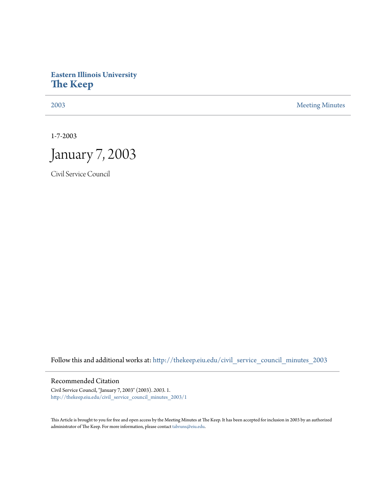## **Eastern Illinois University [The Keep](http://thekeep.eiu.edu?utm_source=thekeep.eiu.edu%2Fcivil_service_council_minutes_2003%2F1&utm_medium=PDF&utm_campaign=PDFCoverPages)**

[2003](http://thekeep.eiu.edu/civil_service_council_minutes_2003?utm_source=thekeep.eiu.edu%2Fcivil_service_council_minutes_2003%2F1&utm_medium=PDF&utm_campaign=PDFCoverPages) [Meeting Minutes](http://thekeep.eiu.edu/civil_service_council_minutes?utm_source=thekeep.eiu.edu%2Fcivil_service_council_minutes_2003%2F1&utm_medium=PDF&utm_campaign=PDFCoverPages)

1-7-2003



Civil Service Council

Follow this and additional works at: [http://thekeep.eiu.edu/civil\\_service\\_council\\_minutes\\_2003](http://thekeep.eiu.edu/civil_service_council_minutes_2003?utm_source=thekeep.eiu.edu%2Fcivil_service_council_minutes_2003%2F1&utm_medium=PDF&utm_campaign=PDFCoverPages)

Recommended Citation

Civil Service Council, "January 7, 2003" (2003). *2003*. 1. [http://thekeep.eiu.edu/civil\\_service\\_council\\_minutes\\_2003/1](http://thekeep.eiu.edu/civil_service_council_minutes_2003/1?utm_source=thekeep.eiu.edu%2Fcivil_service_council_minutes_2003%2F1&utm_medium=PDF&utm_campaign=PDFCoverPages)

This Article is brought to you for free and open access by the Meeting Minutes at The Keep. It has been accepted for inclusion in 2003 by an authorized administrator of The Keep. For more information, please contact [tabruns@eiu.edu.](mailto:tabruns@eiu.edu)